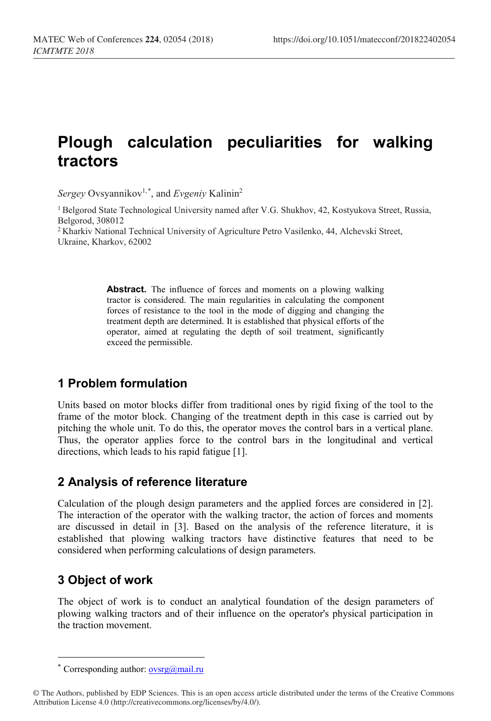# **Plough calculation peculiarities for walking tractors**

Sergey Ovsyannikov<sup>1,[\\*](#page-0-0)</sup>, and *Evgeniy* Kalinin<sup>2</sup>

1 Belgorod State Technological University named after V.G. Shukhov, 42, Kostyukova Street, Russia, Belgorod, 308012

2 Kharkiv National Technical University of Agriculture Petro Vasilenko, 44, Alchevski Street, Ukraine, Kharkov, 62002

> **Abstract.** The influence of forces and moments on a plowing walking tractor is considered. The main regularities in calculating the component forces of resistance to the tool in the mode of digging and changing the treatment depth are determined. It is established that physical efforts of the operator, aimed at regulating the depth of soil treatment, significantly exceed the permissible.

## **1 Problem formulation**

Units based on motor blocks differ from traditional ones by rigid fixing of the tool to the frame of the motor block. Changing of the treatment depth in this case is carried out by pitching the whole unit. To do this, the operator moves the control bars in a vertical plane. Thus, the operator applies force to the control bars in the longitudinal and vertical directions, which leads to his rapid fatigue [1].

## **2 Analysis of reference literature**

Calculation of the plough design parameters and the applied forces are considered in [2]. The interaction of the operator with the walking tractor, the action of forces and moments are discussed in detail in [3]. Based on the analysis of the reference literature, it is established that plowing walking tractors have distinctive features that need to be considered when performing calculations of design parameters.

## **3 Object of work**

 $\overline{a}$ 

The object of work is to conduct an analytical foundation of the design parameters of plowing walking tractors and of their influence on the operator's physical participation in the traction movement.

<sup>\*</sup> Corresponding author:  $\frac{\text{oversg}}{\text{g}}(a)$  mail.ru

<span id="page-0-0"></span><sup>©</sup> The Authors, published by EDP Sciences. This is an open access article distributed under the terms of the Creative Commons Attribution License 4.0 (http://creativecommons.org/licenses/by/4.0/).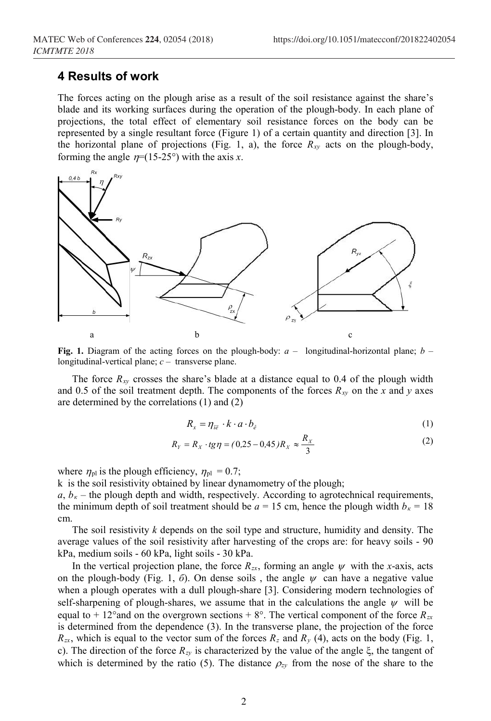#### **4 Results of work**

The forces acting on the plough arise as a result of the soil resistance against the share's blade and its working surfaces during the operation of the plough-body. In each plane of projections, the total effect of elementary soil resistance forces on the body can be represented by a single resultant force (Figure 1) of a certain quantity and direction [3]. In the horizontal plane of projections (Fig. 1, a), the force  $R_{xy}$  acts on the plough-body, forming the angle  $\eta$ =(15-25°) with the axis *x*.



**Fig. 1.** Diagram of the acting forces on the plough-body: *a* – longitudinal-horizontal plane; *b* – longitudinal-vertical plane; *c* – transverse plane.

The force  $R_{XY}$  crosses the share's blade at a distance equal to 0.4 of the plough width and 0.5 of the soil treatment depth. The components of the forces  $R_{xy}$  on the *x* and *y* axes are determined by the correlations (1) and (2)

$$
R_x = \eta_{i\ddot{e}} \cdot k \cdot a \cdot b_{\dot{e}} \tag{1}
$$

$$
R_{Y} = R_{X} \cdot tg\eta = (0.25 - 0.45)R_{X} \approx \frac{R_{X}}{3}
$$
 (2)

where  $\eta_{\text{pl}}$  is the plough efficiency,  $\eta_{\text{pl}} = 0.7$ ;

k is the soil resistivity obtained by linear dynamometry of the plough;

 $a, b<sub>k</sub>$  – the plough depth and width, respectively. According to agrotechnical requirements, the minimum depth of soil treatment should be  $a = 15$  cm, hence the plough width  $b<sub>k</sub> = 18$ cm.

The soil resistivity *k* depends on the soil type and structure, humidity and density. The average values of the soil resistivity after harvesting of the crops are: for heavy soils - 90 kPa, medium soils - 60 kPa, light soils - 30 kPa.

In the vertical projection plane, the force  $R_{zx}$ , forming an angle  $\psi$  with the *x*-axis, acts on the plough-body (Fig. 1,  $\delta$ ). On dense soils, the angle  $\psi$  can have a negative value when a plough operates with a dull plough-share [3]. Considering modern technologies of self-sharpening of plough-shares, we assume that in the calculations the angle  $\psi$  will be equal to + 12° and on the overgrown sections +  $8^\circ$ . The vertical component of the force  $R_{zx}$ is determined from the dependence (3). In the transverse plane, the projection of the force  $R_{zx}$ , which is equal to the vector sum of the forces  $R_z$  and  $R_y$  (4), acts on the body (Fig. 1, c). The direction of the force *Rzy* is characterized by the value of the angle ξ, the tangent of which is determined by the ratio (5). The distance  $\rho_{zy}$  from the nose of the share to the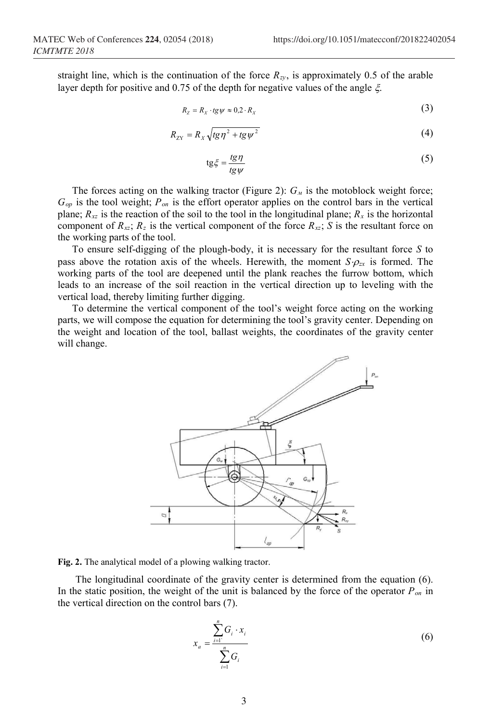straight line, which is the continuation of the force  $R_{zy}$ , is approximately 0.5 of the arable layer depth for positive and 0.75 of the depth for negative values of the angle ξ.

$$
R_{Z} = R_{X} \cdot t g \psi \approx 0.2 \cdot R_{X}
$$
 (3)

$$
R_{\rm ZY} = R_X \sqrt{\log \eta^2 + \log \psi^2} \tag{4}
$$

$$
tg\xi = \frac{tg\eta}{tg\psi} \tag{5}
$$

The forces acting on the walking tractor (Figure 2):  $G<sub>M</sub>$  is the motoblock weight force; *Gор* is the tool weight; *Pоп* is the effort operator applies on the control bars in the vertical plane;  $R_{xz}$  is the reaction of the soil to the tool in the longitudinal plane;  $R_x$  is the horizontal component of  $R_{xz}$ ;  $R_z$  is the vertical component of the force  $R_{xz}$ ; *S* is the resultant force on the working parts of the tool.

To ensure self-digging of the plough-body, it is necessary for the resultant force *S* to pass above the rotation axis of the wheels. Herewith, the moment  $S \cdot \rho_{zx}$  is formed. The working parts of the tool are deepened until the plank reaches the furrow bottom, which leads to an increase of the soil reaction in the vertical direction up to leveling with the vertical load, thereby limiting further digging.

To determine the vertical component of the tool's weight force acting on the working parts, we will compose the equation for determining the tool's gravity center. Depending on the weight and location of the tool, ballast weights, the coordinates of the gravity center will change.



**Fig. 2.** The analytical model of a plowing walking tractor.

 The longitudinal coordinate of the gravity center is determined from the equation (6). In the static position, the weight of the unit is balanced by the force of the operator *Роп* in the vertical direction on the control bars (7).

$$
x_{a} = \frac{\sum_{i=1}^{n} G_{i} \cdot x_{i}}{\sum_{i=1}^{n} G_{i}}
$$
 (6)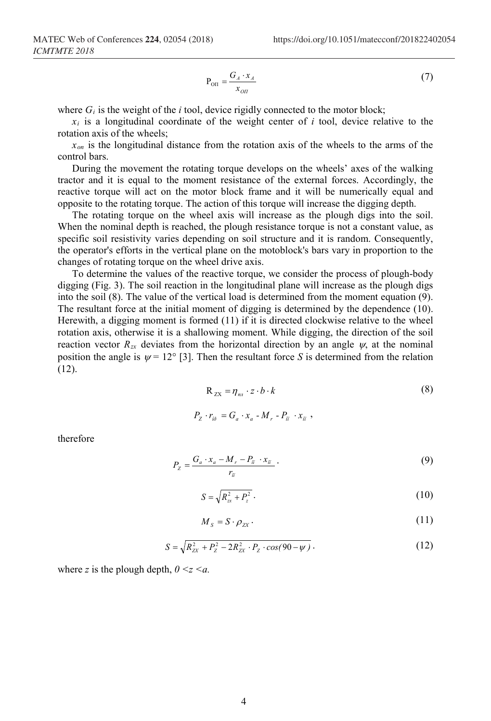$$
P_{\text{OH}} = \frac{G_A \cdot x_A}{x_{\text{OH}}} \tag{7}
$$

where  $G_i$  is the weight of the *i* tool, device rigidly connected to the motor block;

 $x_i$  is a longitudinal coordinate of the weight center of  $i$  tool, device relative to the rotation axis of the wheels;

*хоп* is the longitudinal distance from the rotation axis of the wheels to the arms of the control bars.

During the movement the rotating torque develops on the wheels' axes of the walking tractor and it is equal to the moment resistance of the external forces. Accordingly, the reactive torque will act on the motor block frame and it will be numerically equal and opposite to the rotating torque. The action of this torque will increase the digging depth.

The rotating torque on the wheel axis will increase as the plough digs into the soil. When the nominal depth is reached, the plough resistance torque is not a constant value, as specific soil resistivity varies depending on soil structure and it is random. Consequently, the operator's efforts in the vertical plane on the motoblock's bars vary in proportion to the changes of rotating torque on the wheel drive axis.

To determine the values of the reactive torque, we consider the process of plough-body digging (Fig. 3). The soil reaction in the longitudinal plane will increase as the plough digs into the soil (8). The value of the vertical load is determined from the moment equation (9). The resultant force at the initial moment of digging is determined by the dependence (10). Herewith, a digging moment is formed (11) if it is directed clockwise relative to the wheel rotation axis, otherwise it is a shallowing moment. While digging, the direction of the soil reaction vector  $R_{zx}$  deviates from the horizontal direction by an angle  $\psi$ , at the nominal position the angle is  $\psi = 12^{\circ}$  [3]. Then the resultant force *S* is determined from the relation (12).

$$
R_{zx} = \eta_{n} \cdot z \cdot b \cdot k
$$
  
\n
$$
P_z \cdot r_{i\delta} = G_a \cdot x_a - M_r - P_{\bar{n}} \cdot x_{\bar{n}},
$$
  
\n(8)

therefore

$$
P_{Z} = \frac{G_a \cdot x_a - M_r - P_{\tilde{n}} \cdot x_{\tilde{n}}}{r_{\tilde{n}}} \,. \tag{9}
$$

$$
S = \sqrt{R_{\rm{xx}}^2 + P_{\rm{z}}^2} \,. \tag{10}
$$

$$
M_{s} = S \cdot \rho_{zx} \,. \tag{11}
$$

$$
S = \sqrt{R_{ZX}^2 + P_Z^2 - 2R_{ZX}^2 \cdot P_Z \cdot \cos(90 - \psi)}.
$$
 (12)

where *z* is the plough depth,  $0 \le z \le a$ .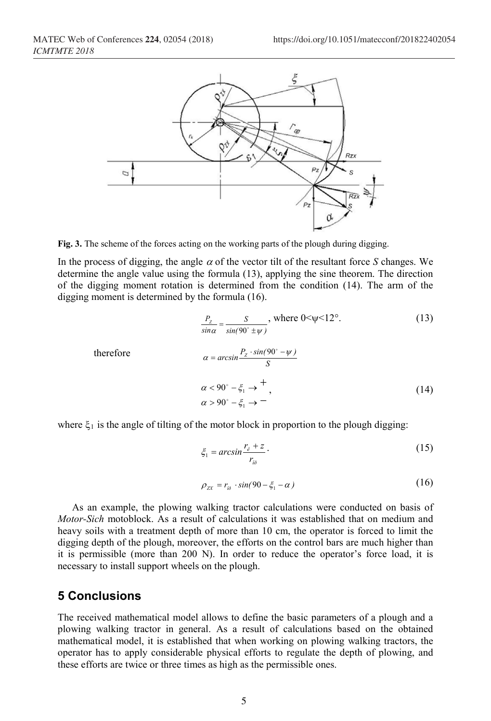

**Fig. 3.** The scheme of the forces acting on the working parts of the plough during digging.

In the process of digging, the angle  $\alpha$  of the vector tilt of the resultant force *S* changes. We determine the angle value using the formula (13), applying the sine theorem. The direction of the digging moment rotation is determined from the condition (14). The arm of the digging moment is determined by the formula (16).

$$
\frac{P_z}{\sin \alpha} = \frac{S}{\sin(90^\circ \pm \psi)}, \text{ where } 0 < \psi < 12^\circ. \tag{13}
$$
\n
$$
\alpha = \arcsin \frac{P_z \cdot \sin(90^\circ - \psi)}{S}
$$
\n
$$
\alpha < 90^\circ - \xi_1 \to \frac{+}{\alpha} \tag{14}
$$

where  $\xi_1$  is the angle of tilting of the motor block in proportion to the plough digging:

$$
\xi_1 = \arcsin \frac{r_{\hat{e}} + z}{r_{i\delta}} \tag{15}
$$

$$
\rho_{zx} = r_{i\delta} \cdot \sin(90 - \xi_1 - \alpha) \tag{16}
$$

As an example, the plowing walking tractor calculations were conducted on basis of *Motor-Sich* motoblock. As a result of calculations it was established that on medium and heavy soils with a treatment depth of more than 10 cm, the operator is forced to limit the digging depth of the plough, moreover, the efforts on the control bars are much higher than it is permissible (more than 200 N). In order to reduce the operator's force load, it is necessary to install support wheels on the plough.

#### **5 Conclusions**

The received mathematical model allows to define the basic parameters of a plough and a plowing walking tractor in general. As a result of calculations based on the obtained mathematical model, it is established that when working on plowing walking tractors, the operator has to apply considerable physical efforts to regulate the depth of plowing, and these efforts are twice or three times as high as the permissible ones.

therefore